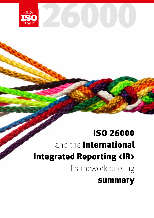

# ISO 26000 and the **International** Integrated Reporting <IR> Framework briefing

26000

### summary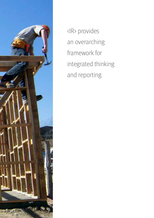

<IR> provides an overarching framework for integrated thinking and reporting.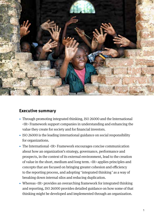

#### **Executive summary**

- Through promoting integrated thinking, ISO 26000 and the International <IR> Framework support companies in understanding and enhancing the value they create for society and for financial investors.
- ISO 26000 is the leading international guidance on social responsibility for organizations.
- The International <IR> Framework encourages concise communication about how an organization's strategy, governance, performance and prospects, in the context of its external environment, lead to the creation of value in the short, medium and long term. <IR> applies principles and concepts that are focused on bringing greater cohesion and efficiency to the reporting process, and adopting 'integrated thinking' as a way of breaking down internal silos and reducing duplication.
- Whereas <IR> provides an overarching framework for integrated thinking and reporting, ISO 26000 provides detailed guidance on how some of that thinking might be developed and implemented through an organization.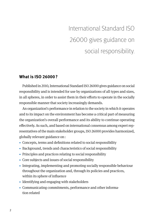International Standard ISO 26000 gives guidance on social responsibility.

#### **What is ISO 26000?**

Published in 2010, International Standard ISO 26000 gives guidance on social responsibility and is intended for use by organizations of all types and sizes, in all spheres, in order to assist them in their efforts to operate in the socially responsible manner that society increasingly demands.

An organization's performance in relation to the society in which it operates and to its impact on the environment has become a critical part of measuring the organization's overall performance and its ability to continue operating effectively. As such, and based on international consensus among expert representatives of the main stakeholder groups, ISO 26000 provides harmonized, globally relevant guidance on:

- Concepts, terms and definitions related to social responsibility
- Background, trends and characteristics of social responsibility
- Principles and practices relating to social responsibility
- Core subjects and issues of social responsibility
- Integrating, implementing and promoting socially responsible behaviour throughout the organization and, through its policies and practices, within its sphere of influence
- Identifying and engaging with stakeholders
- Communicating commitments, performance and other information related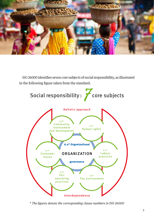

ISO 26000 identifies seven core subjects of social responsibility, as illustrated in the following figure taken from the standard.



*\* The figures denote the corresponding clause numbers in ISO 26000*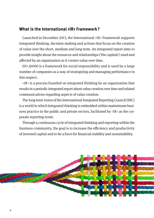#### **What is the International <IR> Framework?**

Launched in December 2013, the International <IR> Framework supports integrated thinking, decision-making and actions that focus on the creation of value over the short, medium and long term. An integrated report aims to provide insight about the resources and relationships ('the capitals') used and affected by an organization as it creates value over time.

ISO 26000 is a framework for social responsibility and is used by a large number of companies as a way of strategizing and managing performance in this respect.

<IR> is a process founded on integrated thinking by an organization that results in a periodic integrated report about value creation over time and related communications regarding aspects of value creation.

The long-term vision of the International Integrated Reporting Council (IIRC) is a world in which integrated thinking is embedded within mainstream business practice in the public and private sectors, facilitated by <IR> as the corporate reporting norm.

Through a continuous cycle of integrated thinking and reporting within the business community, the goal is to increase the efficiency and productivity of invested capital and to be a force for financial stability and sustainability.

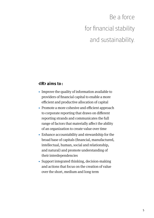## Be a force for financial stability and sustainability.

#### **<IR> aims to:**

- Improve the quality of information available to providers of financial capital to enable a more efficient and productive allocation of capital
- Promote a more cohesive and efficient approach to corporate reporting that draws on different reporting strands and communicates the full range of factors that materially affect the ability of an organization to create value over time
- Enhance accountability and stewardship for the broad base of capitals (financial, manufactured, intellectual, human, social and relationship, and natural) and promote understanding of their interdependencies
- Support integrated thinking, decision-making and actions that focus on the creation of value over the short, medium and long term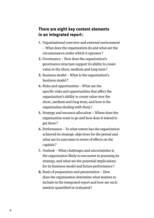#### **There are eight key content elements in an integrated report:**

- **1.** Organizational overview and external environment – What does the organization do and what are the circumstances under which it operates?
- **2.** Governance How does the organization's governance structure support its ability to create value in the short, medium and long term?
- **3.** Business model What is the organization's business model?
- **4.** Risks and opportunities What are the specific risks and opportunities that affect the organization's ability to create value over the short, medium and long term, and how is the organization dealing with them?
- **5.** Strategy and resource allocation Where does the organization want to go and how does it intend to get there?
- **6.** Performance To what extent has the organization achieved its strategic objectives for the period and what are its outcomes in terms of effects on the capitals?
- **7.** Outlook What challenges and uncertainties is the organization likely to encounter in pursuing its strategy, and what are the potential implications for its business model and future performance?
- **8.** Basis of preparation and presentation How does the organization determine what matters to include in the integrated report and how are such matters quantified or evaluated?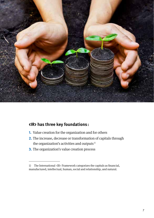

#### **<IR> has three key foundations:**

- **1.** Value creation for the organization and for others
- **2.** The increase, decrease or transformation of capitals through the organization's activities and outputs $1$ <sup>)</sup>
- **3.** The organization's value creation process

<sup>1)</sup> The International <IR> Framework categorizes the capitals as financial, manufactured, intellectual, human, social and relationship, and natural.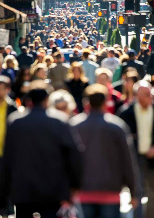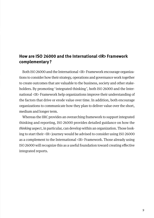#### **How are ISO 26000 and the International <IR> Framework complementary?**

Both ISO 26000 and the International <IR> Framework encourage organizations to consider how their strategy, operations and governance work together to create outcomes that are valuable to the business, society and other stakeholders. By promoting 'integrated thinking', both ISO 26000 and the International <IR> Framework help organizations improve their understanding of the factors that drive or erode value over time. In addition, both encourage organizations to communicate how they plan to deliver value over the short, medium and longer term.

Whereas the IIRC provides an overarching framework to support integrated thinking and reporting, ISO 26000 provides detailed guidance on how the *thinking* aspect, in particular, can develop within an organization. Those looking to start their <IR> journey would be advised to consider using ISO 26000 as a complement to the International <IR> Framework. Those already using ISO 26000 will recognize this as a useful foundation toward creating effective integrated reports.